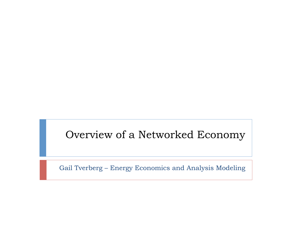#### Overview of a Networked Economy

Gail Tverberg – Energy Economics and Analysis Modeling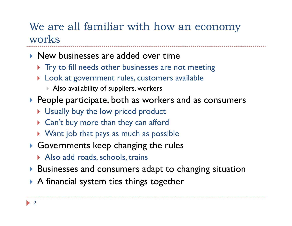### We are all familiar with how an economy works

- **I** New businesses are added over time
	- ▶ Try to fill needs other businesses are not meeting
	- } Look at government rules, customers available
		- } Also availability of suppliers, workers
- ▶ People participate, both as workers and as consumers
	- **If** Usually buy the low priced product
	- ▶ Can't buy more than they can afford
	- ▶ Want job that pays as much as possible
- $\triangleright$  Governments keep changing the rules
	- ▶ Also add roads, schools, trains
- } Businesses and consumers adapt to changing situation
- ▶ A financial system ties things together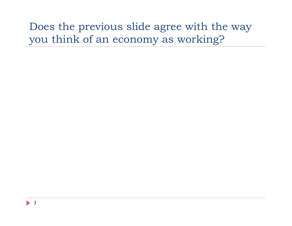## Does the previous slide agree with the way you think of an economy as working?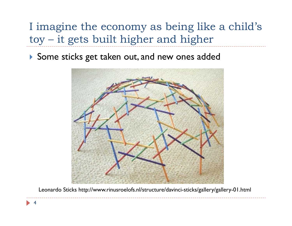I imagine the economy as being like a child's toy – it gets built higher and higher

▶ Some sticks get taken out, and new ones added



Leonardo Sticks http://www.rinusroelofs.nl/structure/davinci-sticks/gallery/gallery-01.html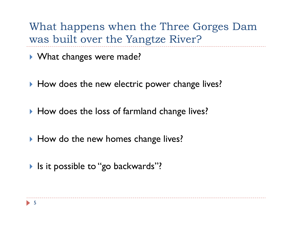What happens when the Three Gorges Dam was built over the Yangtze River?

- ▶ What changes were made?
- ▶ How does the new electric power change lives?
- ▶ How does the loss of farmland change lives?
- ▶ How do the new homes change lives?
- If Is it possible to "go backwards"?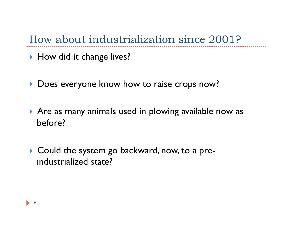How about industrialization since 2001?

- ▶ How did it change lives?
- **Does everyone know how to raise crops now?**
- ▶ Are as many animals used in plowing available now as before?
- ▶ Could the system go backward, now, to a preindustrialized state?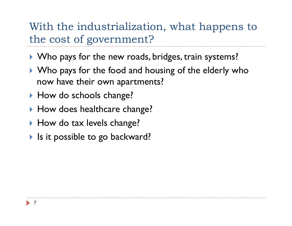With the industrialization, what happens to the cost of government?

- } Who pays for the new roads, bridges, train systems?
- ▶ Who pays for the food and housing of the elderly who now have their own apartments?
- ▶ How do schools change?
- ▶ How does healthcare change?
- ▶ How do tax levels change?
- If Is it possible to go backward?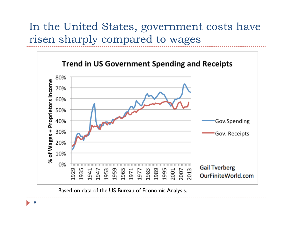### In the United States, government costs have risen sharply compared to wages



Based on data of the US Bureau of Economic Analysis.

8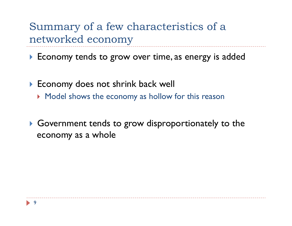Summary of a few characteristics of a networked economy

▶ Economy tends to grow over time, as energy is added

- ▶ Economy does not shrink back well
	- **Model shows the economy as hollow for this reason**
- ▶ Government tends to grow disproportionately to the economy as a whole

![](_page_8_Picture_5.jpeg)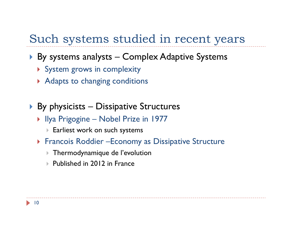## Such systems studied in recent years

- ▶ By systems analysts Complex Adaptive Systems
	- **> System grows in complexity**
	- ▶ Adapts to changing conditions
- $\triangleright$  By physicists Dissipative Structures
	- ▶ Ilya Prigogine Nobel Prize in 1977
		- } Earliest work on such systems
	- **Francois Roddier Economy as Dissipative Structure** 
		- } Thermodynamique de l'evolution
		- ▶ Published in 2012 in France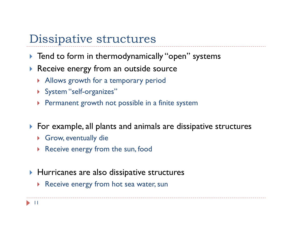## Dissipative structures

- **If** Tend to form in thermodynamically "open" systems
- **Receive energy from an outside source** 
	- } Allows growth for a temporary period
	- ▶ System "self-organizes"
	- **Permanent growth not possible in a finite system**
- } For example, all plants and animals are dissipative structures
	- ▶ Grow, eventually die
	- ▶ Receive energy from the sun, food
- ▶ Hurricanes are also dissipative structures
	- ▶ Receive energy from hot sea water, sun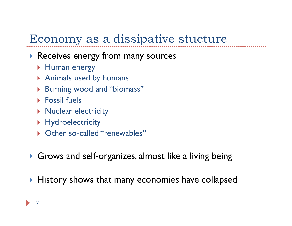# Economy as a dissipative stucture

#### ▶ Receives energy from many sources

- **Human energy**
- ▶ Animals used by humans
- ▶ Burning wood and "biomass"
- ▶ Fossil fuels
- **Nuclear electricity**
- **Hydroelectricity**
- ▶ Other so-called "renewables"
- ▶ Grows and self-organizes, almost like a living being
- } History shows that many economies have collapsed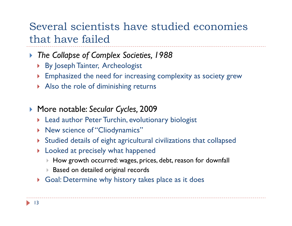### Several scientists have studied economies that have failed

- } *The Collapse of Complex Societies, 1988* 
	- **By Joseph Tainter, Archeologist**
	- } Emphasized the need for increasing complexity as society grew
	- Also the role of diminishing returns
- } More notable: *Secular Cycles,* 2009
	- **Lead author Peter Turchin, evolutionary biologist**
	- **> New science of "Cliodynamics"**
	- } Studied details of eight agricultural civilizations that collapsed
	- **If** Looked at precisely what happened
		- } How growth occurred: wages, prices, debt, reason for downfall
		- ▶ Based on detailed original records
	- } Goal: Determine why history takes place as it does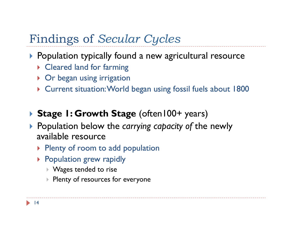# Findings of *Secular Cycles*

- ▶ Population typically found a new agricultural resource
	- ▶ Cleared land for farming
	- ▶ Or began using irrigation
	- } Current situation: World began using fossil fuels about 1800

#### ▶ Stage **1: Growth Stage** (often100+ years)

- } Population below the *carrying capacity of* the newly available resource
	- ▶ Plenty of room to add population
	- **Population grew rapidly** 
		- } Wages tended to rise
		- **Plenty of resources for everyone**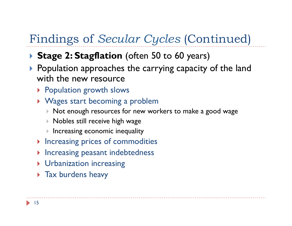# Findings of *Secular Cycles* (Continued)

#### **▶ Stage 2: Stagflation** (often 50 to 60 years)

- ▶ Population approaches the carrying capacity of the land with the new resource
	- ▶ Population growth slows
	- ▶ Wages start becoming a problem
		- } Not enough resources for new workers to make a good wage
		- } Nobles still receive high wage
		- } Increasing economic inequality
	- **Increasing prices of commodities**
	- **Increasing peasant indebtedness**
	- **I** Urbanization increasing
	- **Tax burdens heavy**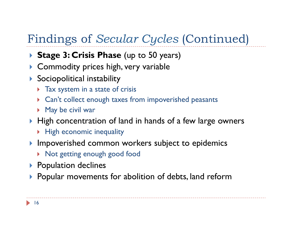# Findings of *Secular Cycles* (Continued)

- **Stage 3: Crisis Phase** (up to 50 years)
- ▶ Commodity prices high, very variable
- $\blacktriangleright$  Sociopolitical instability
	- **Tax system in a state of crisis**
	- } Can't collect enough taxes from impoverished peasants
	- ▶ May be civil war
- ▶ High concentration of land in hands of a few large owners
	- **High economic inequality**
- } Impoverished common workers subject to epidemics
	- **>** Not getting enough good food
- ▶ Population declines
- } Popular movements for abolition of debts, land reform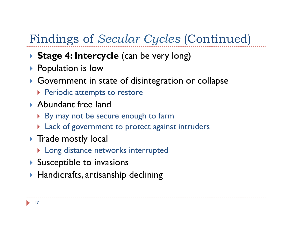# Findings of *Secular Cycles* (Continued)

- ▶ Stage 4: Intercycle (can be very long)
- ▶ Population is low
- } Government in state of disintegration or collapse
	- **Periodic attempts to restore**
- ▶ Abundant free land
	- ▶ By may not be secure enough to farm
	- ▶ Lack of government to protect against intruders
- **If** Trade mostly local
	- ▶ Long distance networks interrupted
- $\blacktriangleright$  Susceptible to invasions
- $\blacktriangleright$  Handicrafts, artisanship declining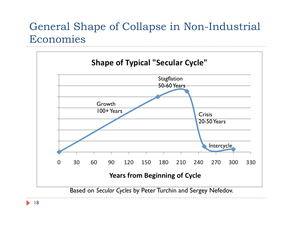## General Shape of Collapse in Non-Industrial Economies

![](_page_17_Figure_1.jpeg)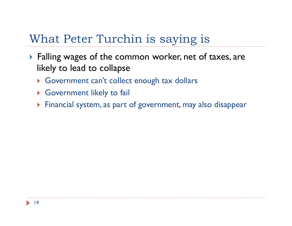# What Peter Turchin is saying is

- ▶ Falling wages of the common worker, net of taxes, are likely to lead to collapse
	- } Government can't collect enough tax dollars
	- ▶ Government likely to fail
	- } Financial system, as part of government, may also disappear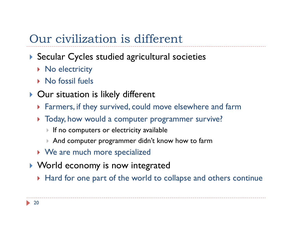# Our civilization is different

#### ▶ Secular Cycles studied agricultural societies

- ▶ No electricity
- ▶ No fossil fuels
- ▶ Our situation is likely different
	- } Farmers, if they survived, could move elsewhere and farm
	- } Today, how would a computer programmer survive?
		- If no computers or electricity available
		- } And computer programmer didn't know how to farm
	- ▶ We are much more specialized
- ▶ World economy is now integrated
	- } Hard for one part of the world to collapse and others continue